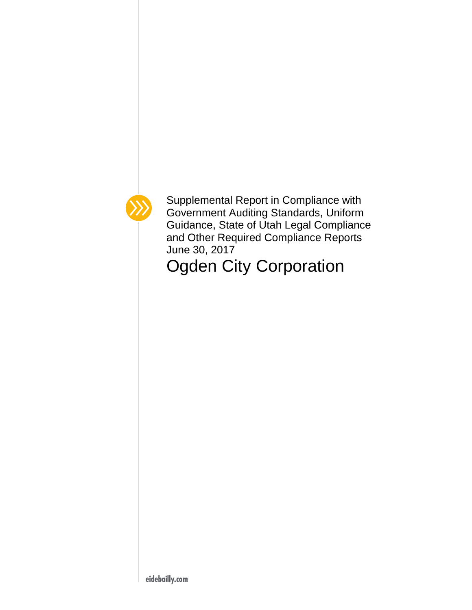

Supplemental Report in Compliance with Government Auditing Standards, Uniform Guidance, State of Utah Legal Compliance and Other Required Compliance Reports June 30, 2017

Ogden City Corporation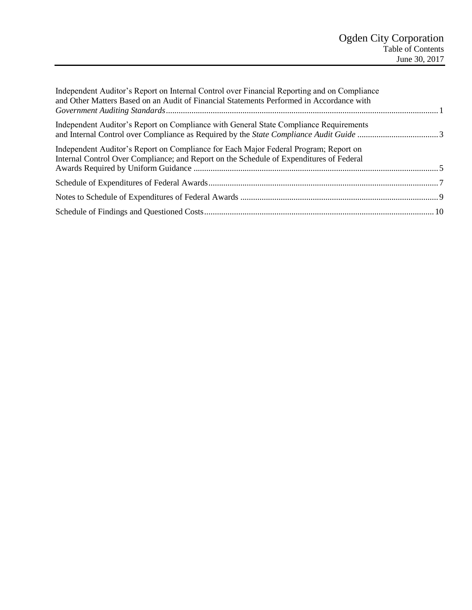| Independent Auditor's Report on Internal Control over Financial Reporting and on Compliance<br>and Other Matters Based on an Audit of Financial Statements Performed in Accordance with |  |
|-----------------------------------------------------------------------------------------------------------------------------------------------------------------------------------------|--|
| Independent Auditor's Report on Compliance with General State Compliance Requirements                                                                                                   |  |
| Independent Auditor's Report on Compliance for Each Major Federal Program; Report on<br>Internal Control Over Compliance; and Report on the Schedule of Expenditures of Federal         |  |
|                                                                                                                                                                                         |  |
|                                                                                                                                                                                         |  |
|                                                                                                                                                                                         |  |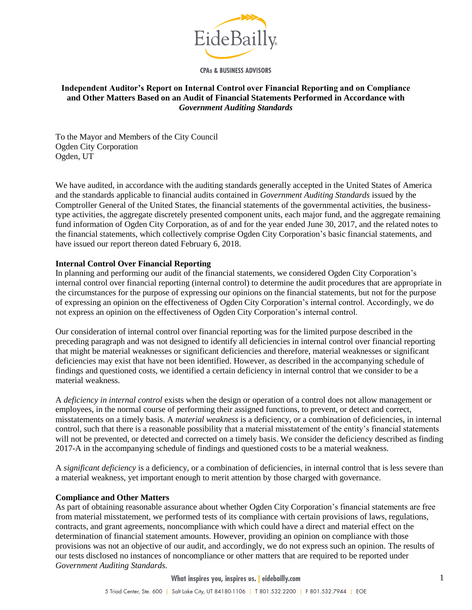

**CPAs & BUSINESS ADVISORS** 

#### <span id="page-2-0"></span>**Independent Auditor's Report on Internal Control over Financial Reporting and on Compliance and Other Matters Based on an Audit of Financial Statements Performed in Accordance with**  *Government Auditing Standards*

To the Mayor and Members of the City Council Ogden City Corporation Ogden, UT

We have audited, in accordance with the auditing standards generally accepted in the United States of America and the standards applicable to financial audits contained in *Government Auditing Standards* issued by the Comptroller General of the United States, the financial statements of the governmental activities, the businesstype activities, the aggregate discretely presented component units, each major fund, and the aggregate remaining fund information of Ogden City Corporation, as of and for the year ended June 30, 2017, and the related notes to the financial statements, which collectively comprise Ogden City Corporation's basic financial statements, and have issued our report thereon dated February 6, 2018.

#### **Internal Control Over Financial Reporting**

In planning and performing our audit of the financial statements, we considered Ogden City Corporation's internal control over financial reporting (internal control) to determine the audit procedures that are appropriate in the circumstances for the purpose of expressing our opinions on the financial statements, but not for the purpose of expressing an opinion on the effectiveness of Ogden City Corporation's internal control. Accordingly, we do not express an opinion on the effectiveness of Ogden City Corporation's internal control.

Our consideration of internal control over financial reporting was for the limited purpose described in the preceding paragraph and was not designed to identify all deficiencies in internal control over financial reporting that might be material weaknesses or significant deficiencies and therefore, material weaknesses or significant deficiencies may exist that have not been identified. However, as described in the accompanying schedule of findings and questioned costs, we identified a certain deficiency in internal control that we consider to be a material weakness.

A *deficiency in internal control* exists when the design or operation of a control does not allow management or employees, in the normal course of performing their assigned functions, to prevent, or detect and correct, misstatements on a timely basis. A *material weakness* is a deficiency, or a combination of deficiencies, in internal control, such that there is a reasonable possibility that a material misstatement of the entity's financial statements will not be prevented, or detected and corrected on a timely basis. We consider the deficiency described as finding 2017-A in the accompanying schedule of findings and questioned costs to be a material weakness.

A *significant deficiency* is a deficiency, or a combination of deficiencies, in internal control that is less severe than a material weakness, yet important enough to merit attention by those charged with governance.

#### **Compliance and Other Matters**

As part of obtaining reasonable assurance about whether Ogden City Corporation's financial statements are free from material misstatement, we performed tests of its compliance with certain provisions of laws, regulations, contracts, and grant agreements, noncompliance with which could have a direct and material effect on the determination of financial statement amounts. However, providing an opinion on compliance with those provisions was not an objective of our audit, and accordingly, we do not express such an opinion. The results of our tests disclosed no instances of noncompliance or other matters that are required to be reported under *Government Auditing Standards.*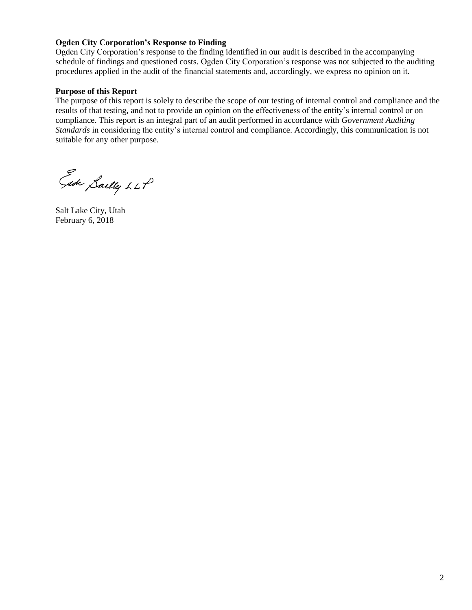## **Ogden City Corporation's Response to Finding**

Ogden City Corporation's response to the finding identified in our audit is described in the accompanying schedule of findings and questioned costs. Ogden City Corporation's response was not subjected to the auditing procedures applied in the audit of the financial statements and, accordingly, we express no opinion on it.

#### **Purpose of this Report**

The purpose of this report is solely to describe the scope of our testing of internal control and compliance and the results of that testing, and not to provide an opinion on the effectiveness of the entity's internal control or on compliance. This report is an integral part of an audit performed in accordance with *Government Auditing Standards* in considering the entity's internal control and compliance. Accordingly, this communication is not suitable for any other purpose.

Ede Saelly LLP

Salt Lake City, Utah February 6, 2018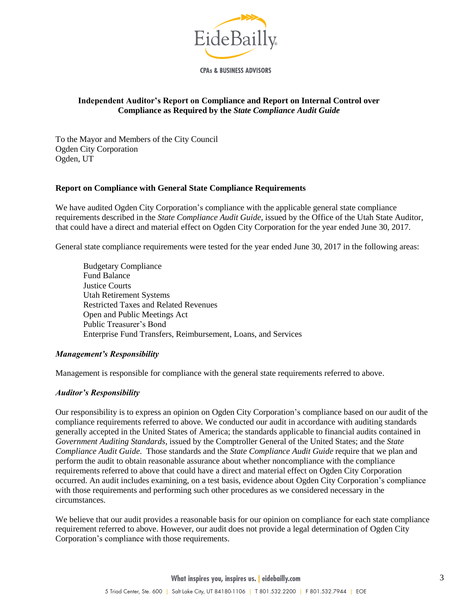

**CPAs & BUSINESS ADVISORS** 

### <span id="page-4-0"></span>**Independent Auditor's Report on Compliance and Report on Internal Control over Compliance as Required by the** *State Compliance Audit Guide*

To the Mayor and Members of the City Council Ogden City Corporation Ogden, UT

#### **Report on Compliance with General State Compliance Requirements**

We have audited Ogden City Corporation's compliance with the applicable general state compliance requirements described in the *State Compliance Audit Guide*, issued by the Office of the Utah State Auditor, that could have a direct and material effect on Ogden City Corporation for the year ended June 30, 2017.

General state compliance requirements were tested for the year ended June 30, 2017 in the following areas:

Budgetary Compliance Fund Balance Justice Courts Utah Retirement Systems Restricted Taxes and Related Revenues Open and Public Meetings Act Public Treasurer's Bond Enterprise Fund Transfers, Reimbursement, Loans, and Services

#### *Management's Responsibility*

Management is responsible for compliance with the general state requirements referred to above.

#### *Auditor's Responsibility*

Our responsibility is to express an opinion on Ogden City Corporation's compliance based on our audit of the compliance requirements referred to above. We conducted our audit in accordance with auditing standards generally accepted in the United States of America; the standards applicable to financial audits contained in *Government Auditing Standards*, issued by the Comptroller General of the United States; and the *State Compliance Audit Guide*. Those standards and the *State Compliance Audit Guide* require that we plan and perform the audit to obtain reasonable assurance about whether noncompliance with the compliance requirements referred to above that could have a direct and material effect on Ogden City Corporation occurred. An audit includes examining, on a test basis, evidence about Ogden City Corporation's compliance with those requirements and performing such other procedures as we considered necessary in the circumstances.

We believe that our audit provides a reasonable basis for our opinion on compliance for each state compliance requirement referred to above. However, our audit does not provide a legal determination of Ogden City Corporation's compliance with those requirements.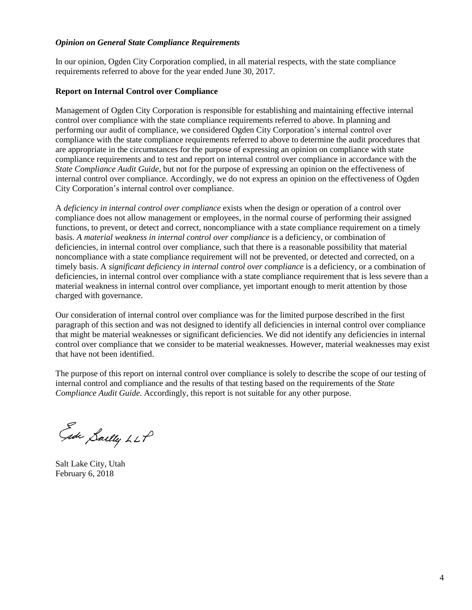#### *Opinion on General State Compliance Requirements*

In our opinion, Ogden City Corporation complied, in all material respects, with the state compliance requirements referred to above for the year ended June 30, 2017.

#### **Report on Internal Control over Compliance**

Management of Ogden City Corporation is responsible for establishing and maintaining effective internal control over compliance with the state compliance requirements referred to above. In planning and performing our audit of compliance, we considered Ogden City Corporation's internal control over compliance with the state compliance requirements referred to above to determine the audit procedures that are appropriate in the circumstances for the purpose of expressing an opinion on compliance with state compliance requirements and to test and report on internal control over compliance in accordance with the *State Compliance Audit Guide*, but not for the purpose of expressing an opinion on the effectiveness of internal control over compliance. Accordingly, we do not express an opinion on the effectiveness of Ogden City Corporation's internal control over compliance.

A *deficiency in internal control over compliance* exists when the design or operation of a control over compliance does not allow management or employees, in the normal course of performing their assigned functions, to prevent, or detect and correct, noncompliance with a state compliance requirement on a timely basis. A material weakness in internal control over compliance is a deficiency, or combination of deficiencies, in internal control over compliance, such that there is a reasonable possibility that material noncompliance with a state compliance requirement will not be prevented, or detected and corrected, on a timely basis. A *significant deficiency in internal control over compliance* is a deficiency, or a combination of deficiencies, in internal control over compliance with a state compliance requirement that is less severe than a material weakness in internal control over compliance, yet important enough to merit attention by those charged with governance.

Our consideration of internal control over compliance was for the limited purpose described in the first paragraph of this section and was not designed to identify all deficiencies in internal control over compliance that might be material weaknesses or significant deficiencies. We did not identify any deficiencies in internal control over compliance that we consider to be material weaknesses. However, material weaknesses may exist that have not been identified.

The purpose of this report on internal control over compliance is solely to describe the scope of our testing of internal control and compliance and the results of that testing based on the requirements of the *State Compliance Audit Guide*. Accordingly, this report is not suitable for any other purpose.

Ede Sailly LLP

Salt Lake City, Utah February 6, 2018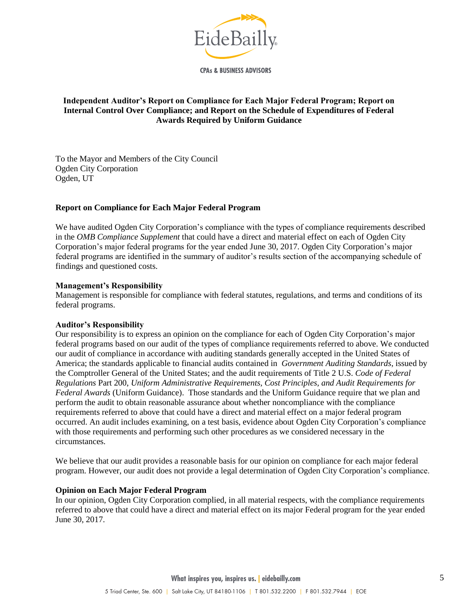

**CPAs & BUSINESS ADVISORS** 

### <span id="page-6-0"></span>**Independent Auditor's Report on Compliance for Each Major Federal Program; Report on Internal Control Over Compliance; and Report on the Schedule of Expenditures of Federal Awards Required by Uniform Guidance**

To the Mayor and Members of the City Council Ogden City Corporation Ogden, UT

### **Report on Compliance for Each Major Federal Program**

We have audited Ogden City Corporation's compliance with the types of compliance requirements described in the *OMB Compliance Supplement* that could have a direct and material effect on each of Ogden City Corporation's major federal programs for the year ended June 30, 2017. Ogden City Corporation's major federal programs are identified in the summary of auditor's results section of the accompanying schedule of findings and questioned costs.

#### **Management's Responsibility**

Management is responsible for compliance with federal statutes, regulations, and terms and conditions of its federal programs.

#### **Auditor's Responsibility**

Our responsibility is to express an opinion on the compliance for each of Ogden City Corporation's major federal programs based on our audit of the types of compliance requirements referred to above. We conducted our audit of compliance in accordance with auditing standards generally accepted in the United States of America; the standards applicable to financial audits contained in *Government Auditing Standards*, issued by the Comptroller General of the United States; and the audit requirements of Title 2 U.S. *Code of Federal Regulations* Part 200, *Uniform Administrative Requirements, Cost Principles, and Audit Requirements for Federal Awards* (Uniform Guidance). Those standards and the Uniform Guidance require that we plan and perform the audit to obtain reasonable assurance about whether noncompliance with the compliance requirements referred to above that could have a direct and material effect on a major federal program occurred. An audit includes examining, on a test basis, evidence about Ogden City Corporation's compliance with those requirements and performing such other procedures as we considered necessary in the circumstances.

We believe that our audit provides a reasonable basis for our opinion on compliance for each major federal program. However, our audit does not provide a legal determination of Ogden City Corporation's compliance.

#### **Opinion on Each Major Federal Program**

In our opinion, Ogden City Corporation complied, in all material respects, with the compliance requirements referred to above that could have a direct and material effect on its major Federal program for the year ended June 30, 2017.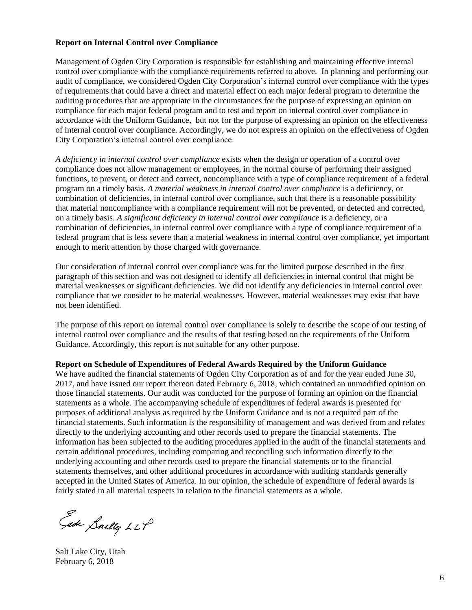### **Report on Internal Control over Compliance**

Management of Ogden City Corporation is responsible for establishing and maintaining effective internal control over compliance with the compliance requirements referred to above. In planning and performing our audit of compliance, we considered Ogden City Corporation's internal control over compliance with the types of requirements that could have a direct and material effect on each major federal program to determine the auditing procedures that are appropriate in the circumstances for the purpose of expressing an opinion on compliance for each major federal program and to test and report on internal control over compliance in accordance with the Uniform Guidance, but not for the purpose of expressing an opinion on the effectiveness of internal control over compliance. Accordingly, we do not express an opinion on the effectiveness of Ogden City Corporation's internal control over compliance.

*A deficiency in internal control over compliance* exists when the design or operation of a control over compliance does not allow management or employees, in the normal course of performing their assigned functions, to prevent, or detect and correct, noncompliance with a type of compliance requirement of a federal program on a timely basis. *A material weakness in internal control over compliance* is a deficiency, or combination of deficiencies, in internal control over compliance, such that there is a reasonable possibility that material noncompliance with a compliance requirement will not be prevented, or detected and corrected, on a timely basis. *A significant deficiency in internal control over compliance* is a deficiency, or a combination of deficiencies, in internal control over compliance with a type of compliance requirement of a federal program that is less severe than a material weakness in internal control over compliance, yet important enough to merit attention by those charged with governance.

Our consideration of internal control over compliance was for the limited purpose described in the first paragraph of this section and was not designed to identify all deficiencies in internal control that might be material weaknesses or significant deficiencies. We did not identify any deficiencies in internal control over compliance that we consider to be material weaknesses. However, material weaknesses may exist that have not been identified.

The purpose of this report on internal control over compliance is solely to describe the scope of our testing of internal control over compliance and the results of that testing based on the requirements of the Uniform Guidance. Accordingly, this report is not suitable for any other purpose.

#### **Report on Schedule of Expenditures of Federal Awards Required by the Uniform Guidance**

We have audited the financial statements of Ogden City Corporation as of and for the year ended June 30, 2017, and have issued our report thereon dated February 6, 2018, which contained an unmodified opinion on those financial statements. Our audit was conducted for the purpose of forming an opinion on the financial statements as a whole. The accompanying schedule of expenditures of federal awards is presented for purposes of additional analysis as required by the Uniform Guidance and is not a required part of the financial statements. Such information is the responsibility of management and was derived from and relates directly to the underlying accounting and other records used to prepare the financial statements. The information has been subjected to the auditing procedures applied in the audit of the financial statements and certain additional procedures, including comparing and reconciling such information directly to the underlying accounting and other records used to prepare the financial statements or to the financial statements themselves, and other additional procedures in accordance with auditing standards generally accepted in the United States of America. In our opinion, the schedule of expenditure of federal awards is fairly stated in all material respects in relation to the financial statements as a whole.

Ede Sailly LLP

Salt Lake City, Utah February 6, 2018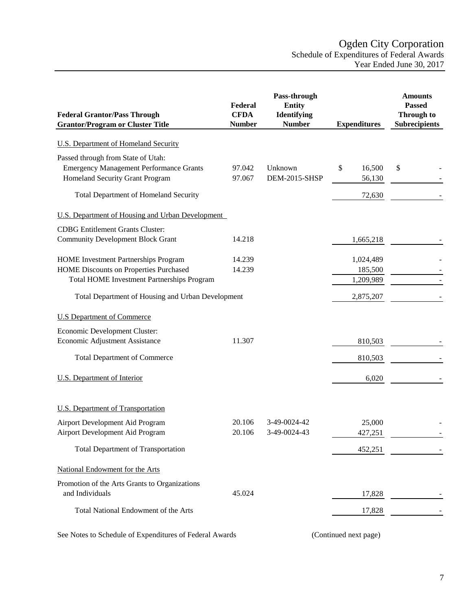<span id="page-8-0"></span>

| <b>Federal Grantor/Pass Through</b><br><b>Grantor/Program or Cluster Title</b>                                          | Federal<br><b>CFDA</b><br><b>Number</b> | Pass-through<br><b>Entity</b><br><b>Identifying</b><br><b>Number</b> | <b>Expenditures</b>    | <b>Amounts</b><br><b>Passed</b><br><b>Through to</b><br><b>Subrecipients</b> |
|-------------------------------------------------------------------------------------------------------------------------|-----------------------------------------|----------------------------------------------------------------------|------------------------|------------------------------------------------------------------------------|
| <b>U.S. Department of Homeland Security</b>                                                                             |                                         |                                                                      |                        |                                                                              |
|                                                                                                                         |                                         |                                                                      |                        |                                                                              |
| Passed through from State of Utah:<br><b>Emergency Management Performance Grants</b><br>Homeland Security Grant Program | 97.042<br>97.067                        | Unknown<br>DEM-2015-SHSP                                             | \$<br>16,500<br>56,130 | \$                                                                           |
| <b>Total Department of Homeland Security</b>                                                                            |                                         |                                                                      | 72,630                 |                                                                              |
| U.S. Department of Housing and Urban Development                                                                        |                                         |                                                                      |                        |                                                                              |
| <b>CDBG</b> Entitlement Grants Cluster:                                                                                 |                                         |                                                                      |                        |                                                                              |
| <b>Community Development Block Grant</b>                                                                                | 14.218                                  |                                                                      | 1,665,218              |                                                                              |
| <b>HOME</b> Investment Partnerships Program                                                                             | 14.239                                  |                                                                      | 1,024,489              |                                                                              |
| HOME Discounts on Properties Purchased                                                                                  | 14.239                                  |                                                                      | 185,500                |                                                                              |
| Total HOME Investment Partnerships Program                                                                              |                                         |                                                                      | 1,209,989              |                                                                              |
| Total Department of Housing and Urban Development                                                                       |                                         |                                                                      | 2,875,207              |                                                                              |
| <b>U.S Department of Commerce</b>                                                                                       |                                         |                                                                      |                        |                                                                              |
| Economic Development Cluster:                                                                                           |                                         |                                                                      |                        |                                                                              |
| Economic Adjustment Assistance                                                                                          | 11.307                                  |                                                                      | 810,503                |                                                                              |
| <b>Total Department of Commerce</b>                                                                                     |                                         |                                                                      | 810,503                |                                                                              |
| <b>U.S.</b> Department of Interior                                                                                      |                                         |                                                                      | 6,020                  |                                                                              |
| <b>U.S. Department of Transportation</b>                                                                                |                                         |                                                                      |                        |                                                                              |
| Airport Development Aid Program                                                                                         | 20.106                                  | 3-49-0024-42                                                         | 25,000                 |                                                                              |
| Airport Development Aid Program                                                                                         | 20.106                                  | 3-49-0024-43                                                         | 427,251                |                                                                              |
| <b>Total Department of Transportation</b>                                                                               |                                         |                                                                      | 452,251                |                                                                              |
| National Endowment for the Arts                                                                                         |                                         |                                                                      |                        |                                                                              |
| Promotion of the Arts Grants to Organizations                                                                           |                                         |                                                                      |                        |                                                                              |
| and Individuals                                                                                                         | 45.024                                  |                                                                      | 17,828                 |                                                                              |
| Total National Endowment of the Arts                                                                                    |                                         |                                                                      | 17,828                 |                                                                              |
|                                                                                                                         |                                         |                                                                      |                        |                                                                              |

See Notes to Schedule of Expenditures of Federal Awards (Continued next page)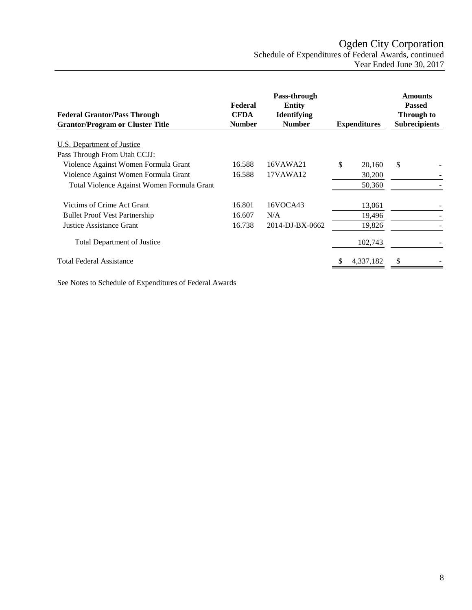# Ogden City Corporation Schedule of Expenditures of Federal Awards, continued Year Ended June 30, 2017

| <b>Federal Grantor/Pass Through</b><br><b>Grantor/Program or Cluster Title</b> | Federal<br><b>CFDA</b><br><b>Number</b> | Pass-through<br><b>Entity</b><br><b>Identifying</b><br><b>Number</b> | <b>Expenditures</b> | <b>Amounts</b><br><b>Passed</b><br>Through to<br><b>Subrecipients</b> |
|--------------------------------------------------------------------------------|-----------------------------------------|----------------------------------------------------------------------|---------------------|-----------------------------------------------------------------------|
| U.S. Department of Justice                                                     |                                         |                                                                      |                     |                                                                       |
| Pass Through From Utah CCJJ:                                                   |                                         |                                                                      |                     |                                                                       |
| Violence Against Women Formula Grant                                           | 16.588                                  | 16VAWA21                                                             | \$<br>20,160        | \$                                                                    |
| Violence Against Women Formula Grant                                           | 16.588                                  | 17VAWA12                                                             | 30,200              |                                                                       |
| Total Violence Against Women Formula Grant                                     |                                         |                                                                      | 50,360              |                                                                       |
| Victims of Crime Act Grant                                                     | 16.801                                  | 16VOCA43                                                             | 13,061              |                                                                       |
| <b>Bullet Proof Vest Partnership</b>                                           | 16.607                                  | N/A                                                                  | 19,496              |                                                                       |
| Justice Assistance Grant                                                       | 16.738                                  | 2014-DJ-BX-0662                                                      | 19,826              |                                                                       |
| <b>Total Department of Justice</b>                                             |                                         |                                                                      | 102,743             |                                                                       |
| Total Federal Assistance                                                       |                                         |                                                                      | 4,337,182           | \$                                                                    |

See Notes to Schedule of Expenditures of Federal Awards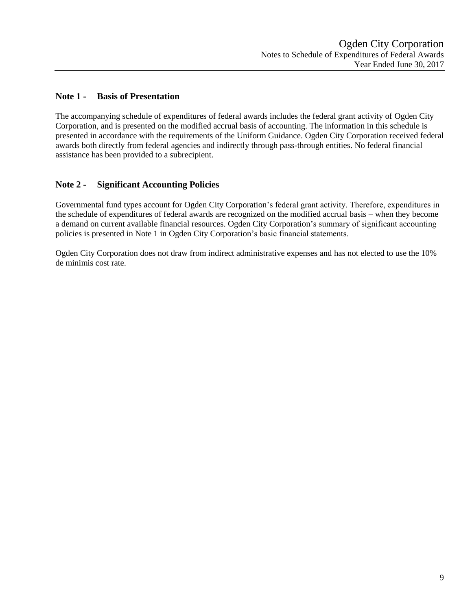## <span id="page-10-0"></span>**Note 1 - Basis of Presentation**

The accompanying schedule of expenditures of federal awards includes the federal grant activity of Ogden City Corporation, and is presented on the modified accrual basis of accounting. The information in this schedule is presented in accordance with the requirements of the Uniform Guidance. Ogden City Corporation received federal awards both directly from federal agencies and indirectly through pass-through entities. No federal financial assistance has been provided to a subrecipient.

## **Note 2 - Significant Accounting Policies**

Governmental fund types account for Ogden City Corporation's federal grant activity. Therefore, expenditures in the schedule of expenditures of federal awards are recognized on the modified accrual basis – when they become a demand on current available financial resources. Ogden City Corporation's summary of significant accounting policies is presented in Note 1 in Ogden City Corporation's basic financial statements.

Ogden City Corporation does not draw from indirect administrative expenses and has not elected to use the 10% de minimis cost rate.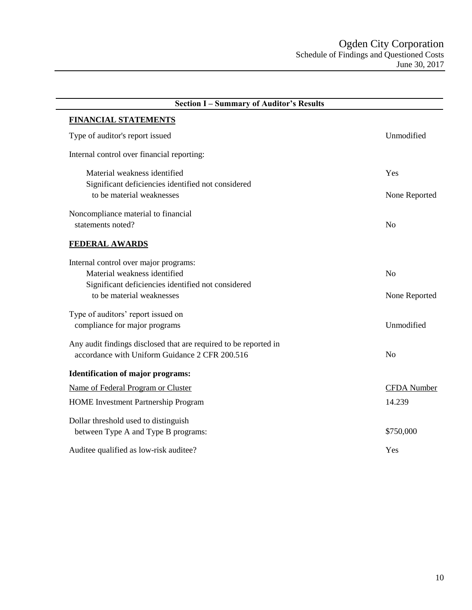<span id="page-11-0"></span>

| <b>Section I-Summary of Auditor's Results</b>                    |                    |
|------------------------------------------------------------------|--------------------|
| <b>FINANCIAL STATEMENTS</b>                                      |                    |
| Type of auditor's report issued                                  | Unmodified         |
| Internal control over financial reporting:                       |                    |
| Material weakness identified                                     | Yes                |
| Significant deficiencies identified not considered               |                    |
| to be material weaknesses                                        | None Reported      |
| Noncompliance material to financial                              |                    |
| statements noted?                                                | N <sub>o</sub>     |
| <b>FEDERAL AWARDS</b>                                            |                    |
| Internal control over major programs:                            |                    |
| Material weakness identified                                     | N <sub>o</sub>     |
| Significant deficiencies identified not considered               |                    |
| to be material weaknesses                                        | None Reported      |
| Type of auditors' report issued on                               |                    |
| compliance for major programs                                    | Unmodified         |
| Any audit findings disclosed that are required to be reported in |                    |
| accordance with Uniform Guidance 2 CFR 200.516                   | N <sub>o</sub>     |
| <b>Identification of major programs:</b>                         |                    |
| Name of Federal Program or Cluster                               | <b>CFDA</b> Number |
| <b>HOME</b> Investment Partnership Program                       | 14.239             |
| Dollar threshold used to distinguish                             |                    |
| between Type A and Type B programs:                              | \$750,000          |
| Auditee qualified as low-risk auditee?                           | Yes                |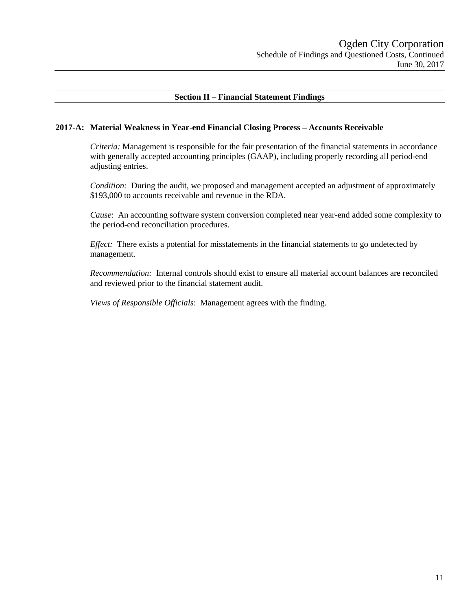## **Section II – Financial Statement Findings**

#### **2017-A: Material Weakness in Year-end Financial Closing Process – Accounts Receivable**

*Criteria:* Management is responsible for the fair presentation of the financial statements in accordance with generally accepted accounting principles (GAAP), including properly recording all period-end adjusting entries.

*Condition:* During the audit, we proposed and management accepted an adjustment of approximately \$193,000 to accounts receivable and revenue in the RDA.

*Cause*: An accounting software system conversion completed near year-end added some complexity to the period-end reconciliation procedures.

*Effect:* There exists a potential for misstatements in the financial statements to go undetected by management.

*Recommendation:* Internal controls should exist to ensure all material account balances are reconciled and reviewed prior to the financial statement audit.

*Views of Responsible Officials*: Management agrees with the finding.